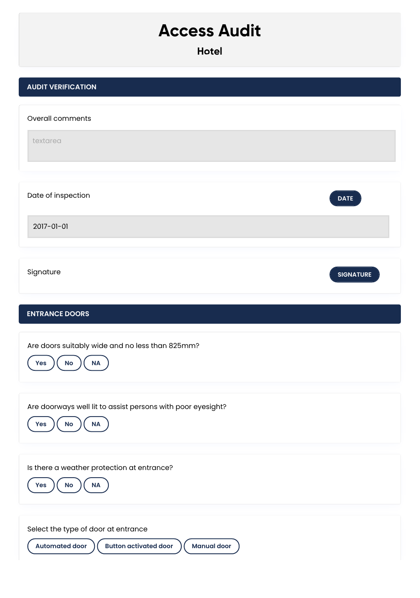## **Access Audit**

| <b>AUDIT VERIFICATION</b>                                                        |                  |
|----------------------------------------------------------------------------------|------------------|
| Overall comments                                                                 |                  |
| textarea                                                                         |                  |
|                                                                                  |                  |
| Date of inspection                                                               | <b>DATE</b>      |
| 2017-01-01                                                                       |                  |
| Signature                                                                        | <b>SIGNATURE</b> |
|                                                                                  |                  |
| <b>ENTRANCE DOORS</b>                                                            |                  |
| Are doors suitably wide and no less than 825mm?<br>No<br><b>NA</b><br><b>Yes</b> |                  |
|                                                                                  |                  |
| Are doorways well lit to assist persons with poor eyesight?                      |                  |
| $\mathsf{No}$<br>$\sf NA$<br>Yes                                                 |                  |
| Is there a weather protection at entrance?                                       |                  |
| $\sf NA$<br>Yes<br>$\mathsf{No}$                                                 |                  |
| Select the type of door at entrance                                              |                  |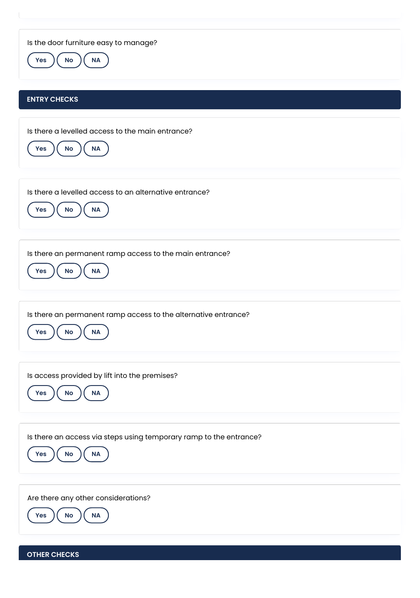Is the door furniture easy to manage?

**Yes**  $\left(\begin{array}{c} \mathsf{No} \end{array}\right)$  **NA** 

## **ENTRY CHECKS**

Is there a levelled access to the main entrance? **Yes**  $)($  **No**  $)($  **NA** Is there a levelled access to an alternative entrance? **Yes**  $\left(\begin{array}{c} \mathsf{No} \end{array}\right)$  ( NA Is there an permanent ramp access to the main entrance? **Yes**  $\left(\begin{array}{c} \mathsf{No} \end{array}\right)$  ( NA Is there an permanent ramp access to the alternative entrance?  $Yes$   $)(No)$   $(NA)$ Is access provided by lift into the premises? **Yes**  $\left(\begin{array}{c} \mathsf{No} \end{array}\right)$  ( NA Is there an access via steps using temporary ramp to the entrance? **Yes No NA** Are there any other considerations? **Yes**  $)($  **No**  $)($  **NA** 

**OTHER CHECKS**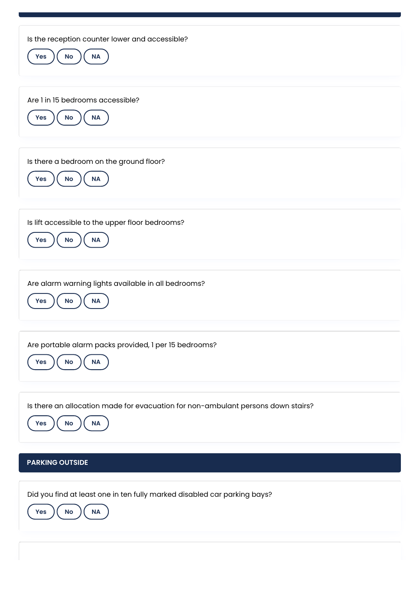| Is the reception counter lower and accessible?<br>$\sf NA$<br>No<br>Yes                                           |
|-------------------------------------------------------------------------------------------------------------------|
| Are 1 in 15 bedrooms accessible?<br>$\sf NA$<br>No<br><b>Yes</b>                                                  |
| Is there a bedroom on the ground floor?<br>Yes<br>No<br>$\sf NA$                                                  |
| Is lift accessible to the upper floor bedrooms?<br>$\sf NA$<br>$\mathsf{No}$<br><b>Yes</b>                        |
| Are alarm warning lights available in all bedrooms?<br>Yes<br>No<br>$\sf NA$                                      |
| Are portable alarm packs provided, 1 per 15 bedrooms?<br>NA<br>No<br>Yes                                          |
| Is there an allocation made for evacuation for non-ambulant persons down stairs?<br><b>No</b><br><b>NA</b><br>Yes |
| <b>PARKING OUTSIDE</b>                                                                                            |
| Did you find at least one in ten fully marked disabled car parking bays?<br>$\sf NA$<br>$\mathsf{No}$<br>Yes      |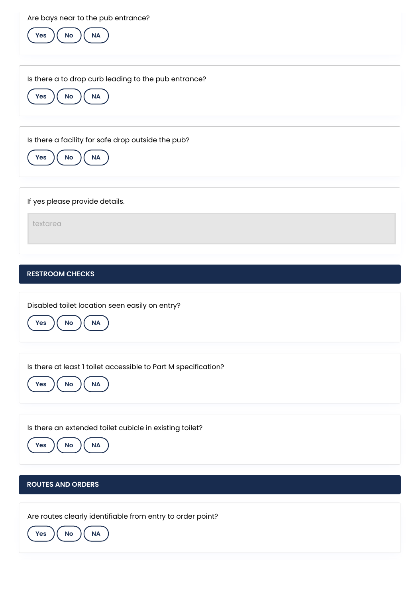Are bays near to the pub entrance?



Is there a to drop curb leading to the pub entrance?



Is there a facility for safe drop outside the pub?



If yes please provide details.

textarea

## **RESTROOM CHECKS**

Disabled toilet location seen easily on entry?



Is there at least 1 toilet accessible to Part M specification?



Is there an extended toilet cubicle in existing toilet?



## **ROUTES AND ORDERS**

Are routes clearly identifiable from entry to order point?

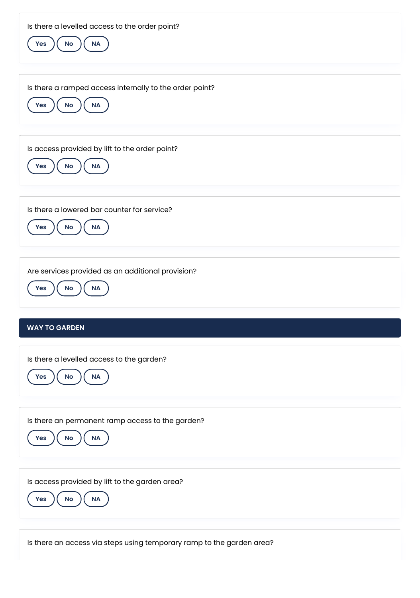| Is there a levelled access to the order point?<br>$\mathsf{No}$<br><b>NA</b><br>Yes         |
|---------------------------------------------------------------------------------------------|
| Is there a ramped access internally to the order point?<br>$\sf NA$<br>$\mathsf{No}$<br>Yes |
| Is access provided by lift to the order point?<br><b>No</b><br>$\sf NA$<br>Yes              |
| Is there a lowered bar counter for service?<br>No<br>$\sf NA$<br>Yes                        |
| Are services provided as an additional provision?<br>$\mathsf{No}$<br>NA<br>Yes             |
| <b>WAY TO GARDEN</b>                                                                        |
| Is there a levelled access to the garden?<br><b>NA</b><br>No<br><b>Yes</b>                  |
| Is there an permanent ramp access to the garden?<br>No<br>NA<br>Yes                         |
| Is access provided by lift to the garden area?<br><b>NA</b><br><b>No</b><br><b>Yes</b>      |

Is there an access via steps using temporary ramp to the garden area?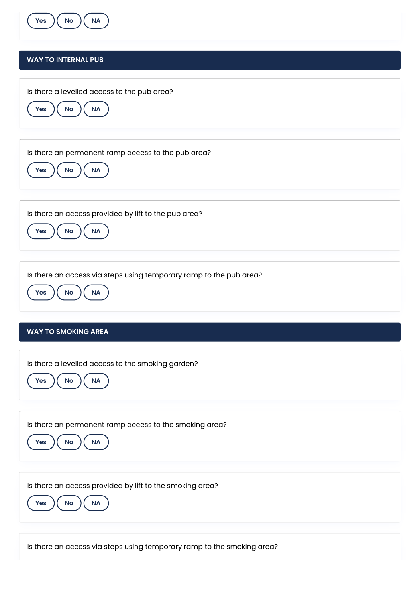

Is there an access via steps using temporary ramp to the smoking area?